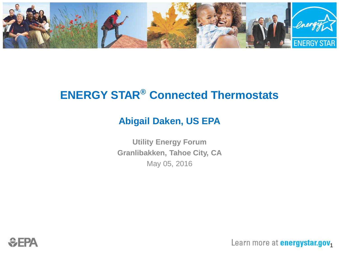

### **ENERGY STAR® Connected Thermostats**

#### **Abigail Daken, US EPA**

**Utility Energy Forum Granlibakken, Tahoe City, CA** May 05, 2016



Learn more at **energystar.gov**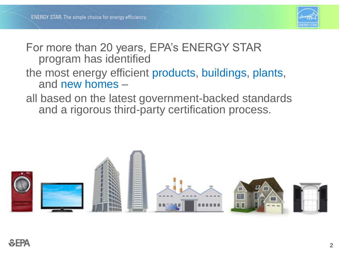

#### For more than 20 years, EPA's ENERGY STAR program has identified

#### the most energy efficient products, buildings, plants, and new homes –

#### all based on the latest government-backed standards and a rigorous third-party certification process.

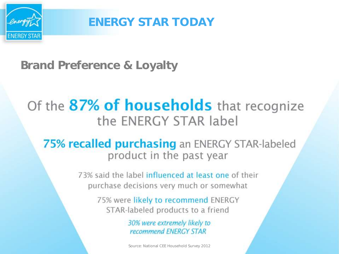

ENERGY STAR TODAY

Brand Preference & Loyalty

# Of the 87% of households that recognize the ENERGY STAR label

75% recalled purchasing an ENERGY STAR-labeled product in the past year

> 73% said the label influenced at least one of their purchase decisions very much or somewhat

> > 75% were likely to recommend ENERGY STAR-labeled products to a friend

> > > 30% were extremely likely to recommend ENERGY STAR

> > > Source: National CEE Household Survey 2012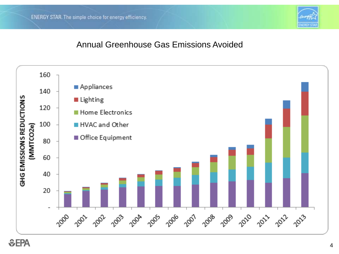

#### Annual Greenhouse Gas Emissions Avoided

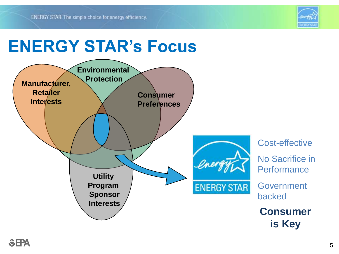

# **ENERGY STAR's Focus**

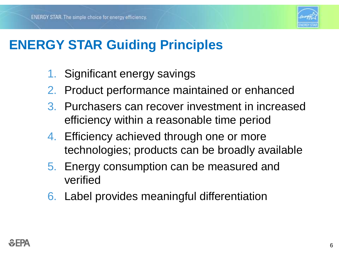

# **ENERGY STAR Guiding Principles**

- 1. Significant energy savings
- 2. Product performance maintained or enhanced
- 3. Purchasers can recover investment in increased efficiency within a reasonable time period
- 4. Efficiency achieved through one or more technologies; products can be broadly available
- 5. Energy consumption can be measured and verified
- 6. Label provides meaningful differentiation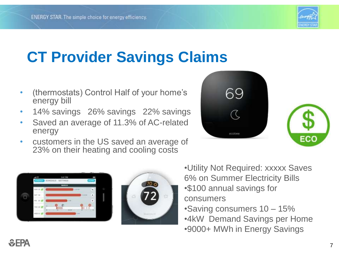

# **CT Provider Savings Claims**

- (thermostats) Control Half of your home's energy bill
- 14% savings 26% savings 22% savings
- Saved an average of 11.3% of AC-related energy
- customers in the US saved an average of 23% on their heating and cooling costs







- •Utility Not Required: xxxxx Saves 6% on Summer Electricity Bills •\$100 annual savings for consumers
- •Saving consumers 10 15%
- •4kW Demand Savings per Home •9000+ MWh in Energy Savings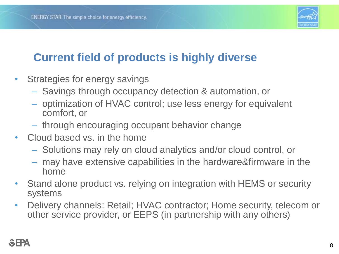

### **Current field of products is highly diverse**

- Strategies for energy savings
	- Savings through occupancy detection & automation, or
	- optimization of HVAC control; use less energy for equivalent comfort, or
	- through encouraging occupant behavior change
- Cloud based vs. in the home
	- Solutions may rely on cloud analytics and/or cloud control, or
	- may have extensive capabilities in the hardware&firmware in the home
- Stand alone product vs. relying on integration with HEMS or security systems
- Delivery channels: Retail; HVAC contractor; Home security, telecom or other service provider, or EEPS (in partnership with any others)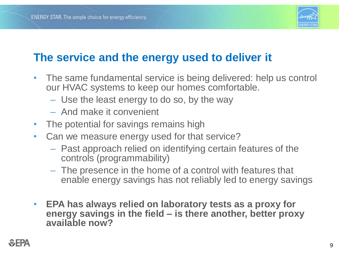

### **The service and the energy used to deliver it**

- The same fundamental service is being delivered: help us control our HVAC systems to keep our homes comfortable.
	- Use the least energy to do so, by the way
	- And make it convenient
- The potential for savings remains high
- Can we measure energy used for that service?
	- Past approach relied on identifying certain features of the controls (programmability)
	- The presence in the home of a control with features that enable energy savings has not reliably led to energy savings
- **EPA has always relied on laboratory tests as a proxy for energy savings in the field – is there another, better proxy available now?**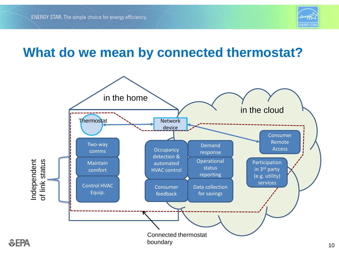

### **What do we mean by connected thermostat?**

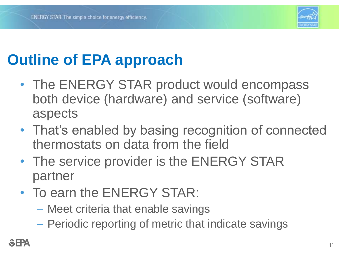

# **Outline of EPA approach**

- The ENERGY STAR product would encompass both device (hardware) and service (software) aspects
- That's enabled by basing recognition of connected thermostats on data from the field
- The service provider is the ENERGY STAR partner
- To earn the ENERGY STAR:
	- Meet criteria that enable savings
	- Periodic reporting of metric that indicate savings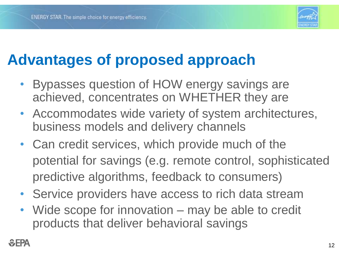

# **Advantages of proposed approach**

- Bypasses question of HOW energy savings are achieved, concentrates on WHETHER they are
- Accommodates wide variety of system architectures, business models and delivery channels
- Can credit services, which provide much of the potential for savings (e.g. remote control, sophisticated predictive algorithms, feedback to consumers)
- Service providers have access to rich data stream
- Wide scope for innovation may be able to credit products that deliver behavioral savings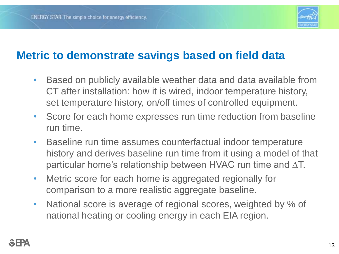

#### **Metric to demonstrate savings based on field data**

- Based on publicly available weather data and data available from CT after installation: how it is wired, indoor temperature history, set temperature history, on/off times of controlled equipment.
- Score for each home expresses run time reduction from baseline run time.
- Baseline run time assumes counterfactual indoor temperature history and derives baseline run time from it using a model of that particular home's relationship between HVAC run time and ∆T.
- Metric score for each home is aggregated regionally for comparison to a more realistic aggregate baseline.
- National score is average of regional scores, weighted by % of national heating or cooling energy in each EIA region.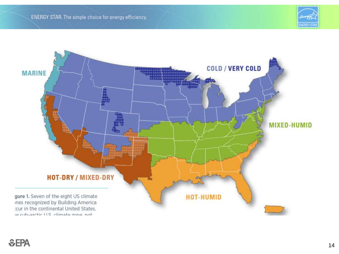

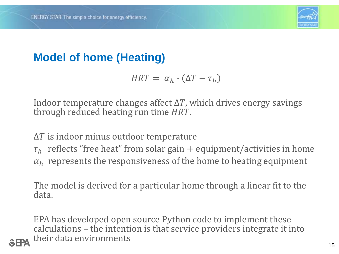

### **Model of home (Heating)**

$$
HRT = \alpha_h \cdot (\Delta T - \tau_h)
$$

Indoor temperature changes affect  $\Delta T$ , which drives energy savings through reduced heating run time  $HRT$ .

 $\Delta T$  is indoor minus outdoor temperature

 $\tau_h$  reflects "free heat" from solar gain + equipment/activities in home  $\alpha_h$  represents the responsiveness of the home to heating equipment

The model is derived for a particular home through a linear fit to the data.

EPA has developed open source Python code to implement these calculations – the intention is that service providers integrate it into their data environments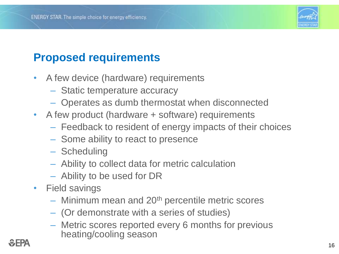

### **Proposed requirements**

- A few device (hardware) requirements
	- Static temperature accuracy
	- Operates as dumb thermostat when disconnected
- A few product (hardware + software) requirements
	- Feedback to resident of energy impacts of their choices
	- Some ability to react to presence
	- Scheduling
	- Ability to collect data for metric calculation
	- Ability to be used for DR
- Field savings
	- $-$  Minimum mean and 20<sup>th</sup> percentile metric scores
	- (Or demonstrate with a series of studies)
	- Metric scores reported every 6 months for previous heating/cooling season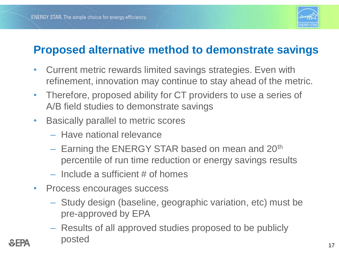

#### **Proposed alternative method to demonstrate savings**

- Current metric rewards limited savings strategies. Even with refinement, innovation may continue to stay ahead of the metric.
- Therefore, proposed ability for CT providers to use a series of A/B field studies to demonstrate savings
- Basically parallel to metric scores
	- Have national relevance
	- Earning the ENERGY STAR based on mean and 20<sup>th</sup> percentile of run time reduction or energy savings results
	- Include a sufficient # of homes
- Process encourages success
	- Study design (baseline, geographic variation, etc) must be pre-approved by EPA
	- Results of all approved studies proposed to be publicly posted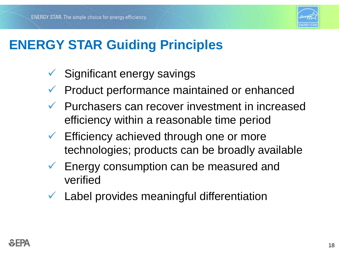

# **ENERGY STAR Guiding Principles**

- Significant energy savings
- $\checkmark$  Product performance maintained or enhanced
- $\checkmark$  Purchasers can recover investment in increased efficiency within a reasonable time period
- Efficiency achieved through one or more technologies; products can be broadly available
- $\checkmark$  Energy consumption can be measured and verified
- $\checkmark$  Label provides meaningful differentiation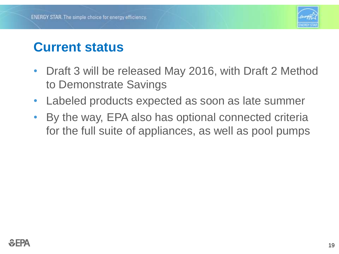

## **Current status**

- Draft 3 will be released May 2016, with Draft 2 Method to Demonstrate Savings
- Labeled products expected as soon as late summer
- By the way, EPA also has optional connected criteria for the full suite of appliances, as well as pool pumps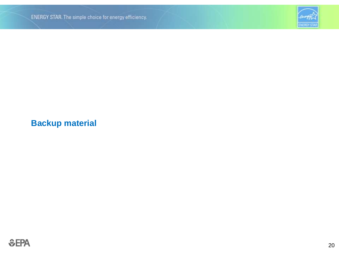

#### **Backup material**